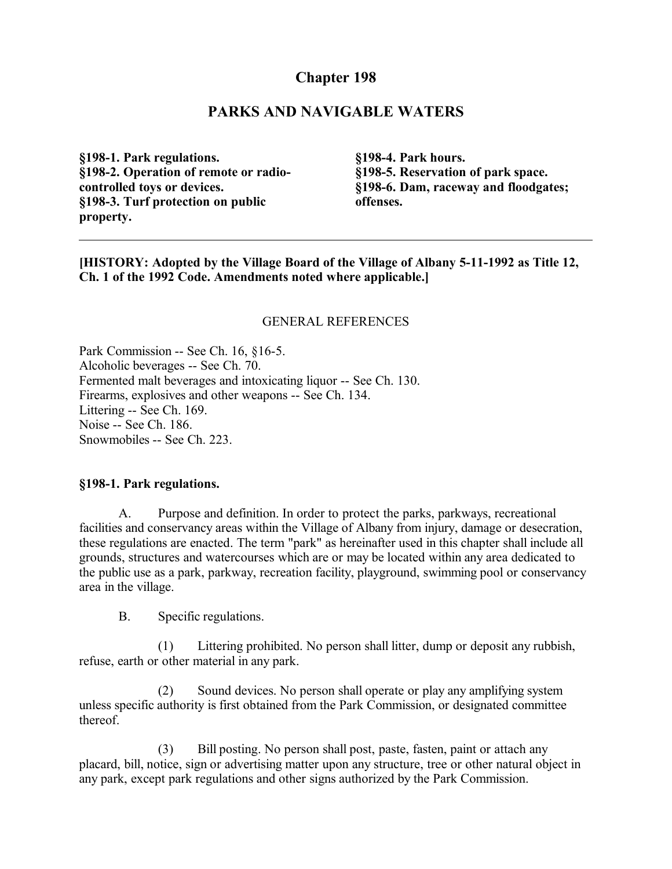# **Chapter 198**

## **PARKS AND NAVIGABLE WATERS**

**§198-1. Park regulations. §198-2. Operation of remote or radiocontrolled toys or devices. §198-3. Turf protection on public property.**

**§198-4. Park hours. §198-5. Reservation of park space. §198-6. Dam, raceway and floodgates; offenses.**

**[HISTORY: Adopted by the Village Board of the Village of Albany 5-11-1992 as Title 12, Ch. 1 of the 1992 Code. Amendments noted where applicable.]**

#### GENERAL REFERENCES

Park Commission -- See Ch. 16, §16-5. Alcoholic beverages -- See Ch. 70. Fermented malt beverages and intoxicating liquor -- See Ch. 130. Firearms, explosives and other weapons -- See Ch. 134. Littering -- See Ch. 169. Noise -- See Ch. 186. Snowmobiles -- See Ch. 223.

#### **§198-1. Park regulations.**

A. Purpose and definition. In order to protect the parks, parkways, recreational facilities and conservancy areas within the Village of Albany from injury, damage or desecration, these regulations are enacted. The term "park" as hereinafter used in this chapter shall include all grounds, structures and watercourses which are or may be located within any area dedicated to the public use as a park, parkway, recreation facility, playground, swimming pool or conservancy area in the village.

B. Specific regulations.

(1) Littering prohibited. No person shall litter, dump or deposit any rubbish, refuse, earth or other material in any park.

(2) Sound devices. No person shall operate or play any amplifying system unless specific authority is first obtained from the Park Commission, or designated committee thereof.

(3) Bill posting. No person shall post, paste, fasten, paint or attach any placard, bill, notice, sign or advertising matter upon any structure, tree or other natural object in any park, except park regulations and other signs authorized by the Park Commission.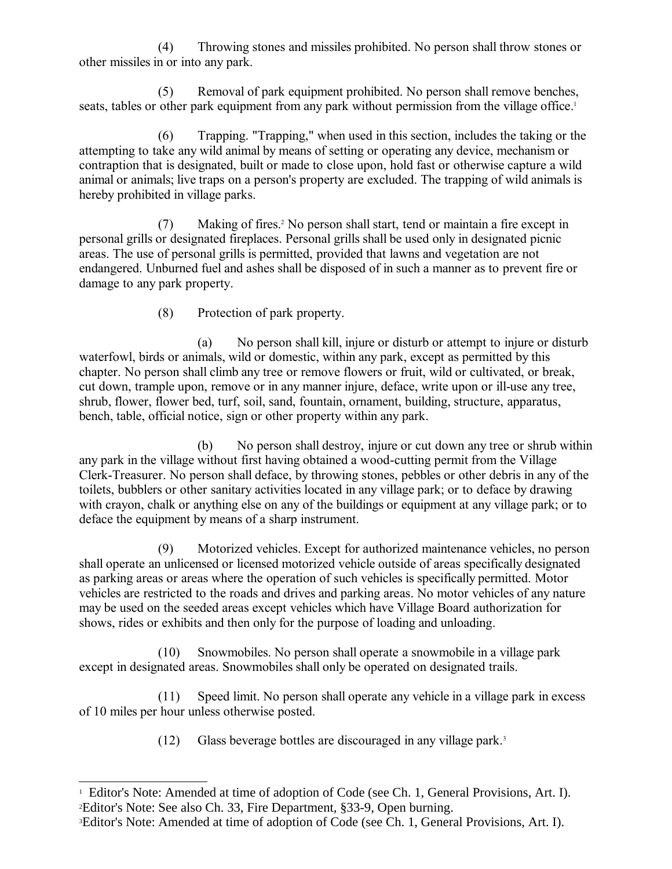(4) Throwing stones and missiles prohibited. No person shall throw stones or other missiles in or into any park.

(5) Removal of park equipment prohibited. No person shall remove benches, seats, tables or other park equipment from any park without permission from the village office.<sup>[1](#page-1-0)</sup>

(6) Trapping. "Trapping," when used in this section, includes the taking or the attempting to take any wild animal by means of setting or operating any device, mechanism or contraption that is designated, built or made to close upon, hold fast or otherwise capture a wild animal or animals; live traps on a person's property are excluded. The trapping of wild animals is hereby prohibited in village parks.

(7) Making of fires.[2](#page-1-1) No person shall start, tend or maintain a fire except in personal grills or designated fireplaces. Personal grills shall be used only in designated picnic areas. The use of personal grills is permitted, provided that lawns and vegetation are not endangered. Unburned fuel and ashes shall be disposed of in such a manner as to prevent fire or damage to any park property.

(8) Protection of park property.

(a) No person shall kill, injure or disturb or attempt to injure or disturb waterfowl, birds or animals, wild or domestic, within any park, except as permitted by this chapter. No person shall climb any tree or remove flowers or fruit, wild or cultivated, or break, cut down, trample upon, remove or in any manner injure, deface, write upon or ill-use any tree, shrub, flower, flower bed, turf, soil, sand, fountain, ornament, building, structure, apparatus, bench, table, official notice, sign or other property within any park.

(b) No person shall destroy, injure or cut down any tree or shrub within any park in the village without first having obtained a wood-cutting permit from the Village Clerk-Treasurer. No person shall deface, by throwing stones, pebbles or other debris in any of the toilets, bubblers or other sanitary activities located in any village park; or to deface by drawing with crayon, chalk or anything else on any of the buildings or equipment at any village park; or to deface the equipment by means of a sharp instrument.

(9) Motorized vehicles. Except for authorized maintenance vehicles, no person shall operate an unlicensed or licensed motorized vehicle outside of areas specifically designated as parking areas or areas where the operation of such vehicles is specifically permitted. Motor vehicles are restricted to the roads and drives and parking areas. No motor vehicles of any nature may be used on the seeded areas except vehicles which have Village Board authorization for shows, rides or exhibits and then only for the purpose of loading and unloading.

(10) Snowmobiles. No person shall operate a snowmobile in a village park except in designated areas. Snowmobiles shall only be operated on designated trails.

(11) Speed limit. No person shall operate any vehicle in a village park in excess of 10 miles per hour unless otherwise posted.

(12) Glass beverage bottles are discouraged in any village park.<sup>[3](#page-1-2)</sup>

<span id="page-1-1"></span><span id="page-1-0"></span><sup>&</sup>lt;sup>1</sup> Editor's Note: Amended at time of adoption of Code (see Ch. 1, General Provisions, Art. I). <sup>2</sup>Editor's Note: See also Ch. 33, Fire Department, §33-9, Open burning.

<span id="page-1-2"></span><sup>3</sup>Editor's Note: Amended at time of adoption of Code (see Ch. 1, General Provisions, Art. I).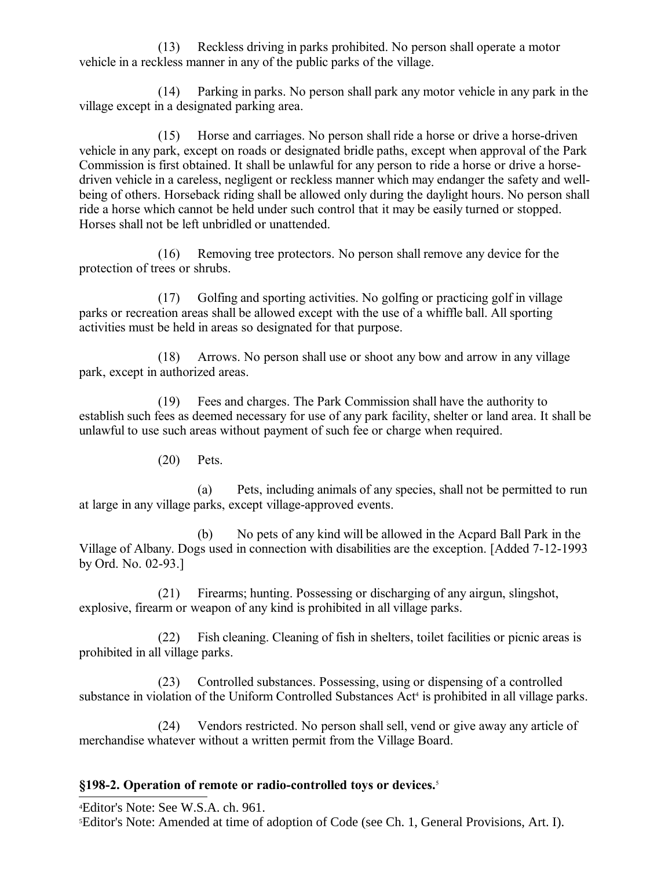(13) Reckless driving in parks prohibited. No person shall operate a motor vehicle in a reckless manner in any of the public parks of the village.

(14) Parking in parks. No person shall park any motor vehicle in any park in the village except in a designated parking area.

(15) Horse and carriages. No person shall ride a horse or drive a horse-driven vehicle in any park, except on roads or designated bridle paths, except when approval of the Park Commission is first obtained. It shall be unlawful for any person to ride a horse or drive a horsedriven vehicle in a careless, negligent or reckless manner which may endanger the safety and wellbeing of others. Horseback riding shall be allowed only during the daylight hours. No person shall ride a horse which cannot be held under such control that it may be easily turned or stopped. Horses shall not be left unbridled or unattended.

(16) Removing tree protectors. No person shall remove any device for the protection of trees or shrubs.

(17) Golfing and sporting activities. No golfing or practicing golf in village parks or recreation areas shall be allowed except with the use of a whiffle ball. All sporting activities must be held in areas so designated for that purpose.

(18) Arrows. No person shall use or shoot any bow and arrow in any village park, except in authorized areas.

(19) Fees and charges. The Park Commission shall have the authority to establish such fees as deemed necessary for use of any park facility, shelter or land area. It shall be unlawful to use such areas without payment of such fee or charge when required.

(20) Pets.

(a) Pets, including animals of any species, shall not be permitted to run at large in any village parks, except village-approved events.

(b) No pets of any kind will be allowed in the Acpard Ball Park in the Village of Albany. Dogs used in connection with disabilities are the exception. [Added 7-12-1993 by Ord. No. 02-93.]

(21) Firearms; hunting. Possessing or discharging of any airgun, slingshot, explosive, firearm or weapon of any kind is prohibited in all village parks.

(22) Fish cleaning. Cleaning of fish in shelters, toilet facilities or picnic areas is prohibited in all village parks.

(23) Controlled substances. Possessing, using or dispensing of a controlled substance in violation of the Uniform Controlled Substances Act<sup>[4](#page-2-0)</sup> is prohibited in all village parks.

(24) Vendors restricted. No person shall sell, vend or give away any article of merchandise whatever without a written permit from the Village Board.

## **§198-2. Operation of remote or radio-controlled toys or devices.**[5](#page-2-1)

<span id="page-2-0"></span><sup>4</sup>Editor's Note: See W.S.A. ch. 961.

<span id="page-2-1"></span>5Editor's Note: Amended at time of adoption of Code (see Ch. 1, General Provisions, Art. I).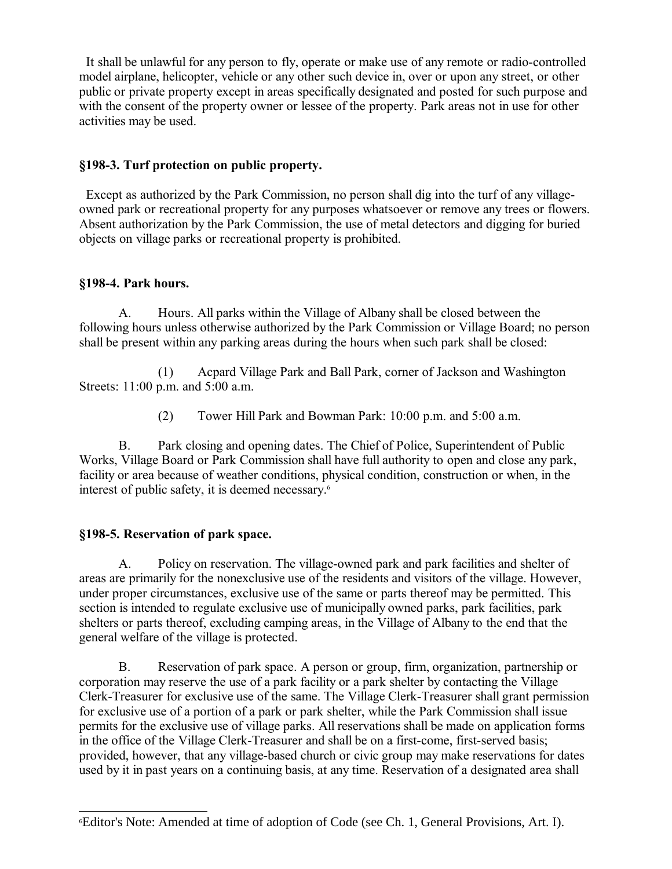It shall be unlawful for any person to fly, operate or make use of any remote or radio-controlled model airplane, helicopter, vehicle or any other such device in, over or upon any street, or other public or private property except in areas specifically designated and posted for such purpose and with the consent of the property owner or lessee of the property. Park areas not in use for other activities may be used.

### **§198-3. Turf protection on public property.**

 Except as authorized by the Park Commission, no person shall dig into the turf of any villageowned park or recreational property for any purposes whatsoever or remove any trees or flowers. Absent authorization by the Park Commission, the use of metal detectors and digging for buried objects on village parks or recreational property is prohibited.

### **§198-4. Park hours.**

A. Hours. All parks within the Village of Albany shall be closed between the following hours unless otherwise authorized by the Park Commission or Village Board; no person shall be present within any parking areas during the hours when such park shall be closed:

(1) Acpard Village Park and Ball Park, corner of Jackson and Washington Streets: 11:00 p.m. and 5:00 a.m.

(2) Tower Hill Park and Bowman Park: 10:00 p.m. and 5:00 a.m.

B. Park closing and opening dates. The Chief of Police, Superintendent of Public Works, Village Board or Park Commission shall have full authority to open and close any park, facility or area because of weather conditions, physical condition, construction or when, in the interest of public safety, it is deemed necessary.<sup>[6](#page-3-0)</sup>

### **§198-5. Reservation of park space.**

A. Policy on reservation. The village-owned park and park facilities and shelter of areas are primarily for the nonexclusive use of the residents and visitors of the village. However, under proper circumstances, exclusive use of the same or parts thereof may be permitted. This section is intended to regulate exclusive use of municipally owned parks, park facilities, park shelters or parts thereof, excluding camping areas, in the Village of Albany to the end that the general welfare of the village is protected.

B. Reservation of park space. A person or group, firm, organization, partnership or corporation may reserve the use of a park facility or a park shelter by contacting the Village Clerk-Treasurer for exclusive use of the same. The Village Clerk-Treasurer shall grant permission for exclusive use of a portion of a park or park shelter, while the Park Commission shall issue permits for the exclusive use of village parks. All reservations shall be made on application forms in the office of the Village Clerk-Treasurer and shall be on a first-come, first-served basis; provided, however, that any village-based church or civic group may make reservations for dates used by it in past years on a continuing basis, at any time. Reservation of a designated area shall

<span id="page-3-0"></span><sup>6</sup>Editor's Note: Amended at time of adoption of Code (see Ch. 1, General Provisions, Art. I).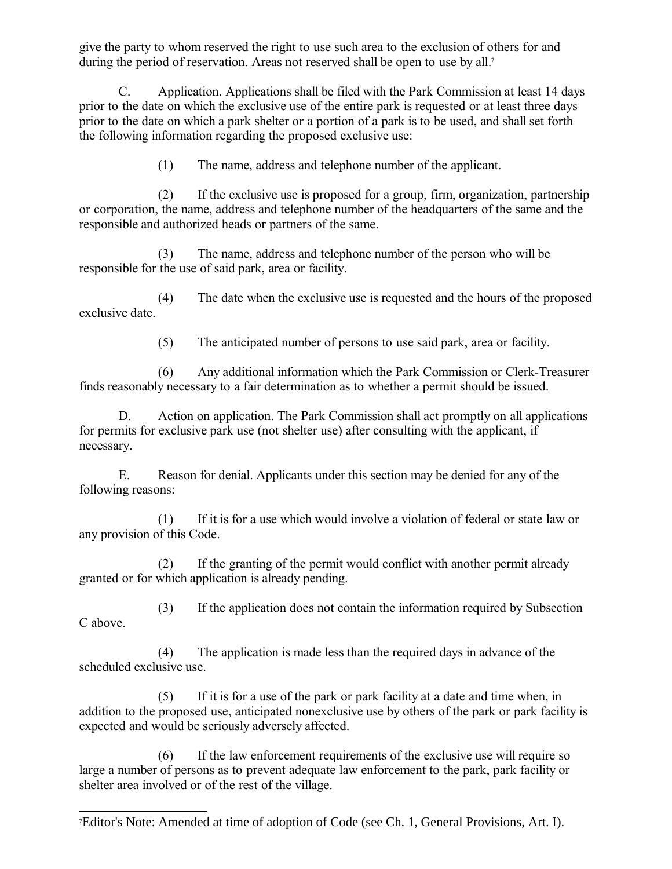give the party to whom reserved the right to use such area to the exclusion of others for and during the period of reservation. Areas not reserved shall be open to use by all.<sup>[7](#page-4-0)</sup>

C. Application. Applications shall be filed with the Park Commission at least 14 days prior to the date on which the exclusive use of the entire park is requested or at least three days prior to the date on which a park shelter or a portion of a park is to be used, and shall set forth the following information regarding the proposed exclusive use:

(1) The name, address and telephone number of the applicant.

(2) If the exclusive use is proposed for a group, firm, organization, partnership or corporation, the name, address and telephone number of the headquarters of the same and the responsible and authorized heads or partners of the same.

(3) The name, address and telephone number of the person who will be responsible for the use of said park, area or facility.

(4) The date when the exclusive use is requested and the hours of the proposed exclusive date.

(5) The anticipated number of persons to use said park, area or facility.

(6) Any additional information which the Park Commission or Clerk-Treasurer finds reasonably necessary to a fair determination as to whether a permit should be issued.

D. Action on application. The Park Commission shall act promptly on all applications for permits for exclusive park use (not shelter use) after consulting with the applicant, if necessary.

E. Reason for denial. Applicants under this section may be denied for any of the following reasons:

(1) If it is for a use which would involve a violation of federal or state law or any provision of this Code.

(2) If the granting of the permit would conflict with another permit already granted or for which application is already pending.

(3) If the application does not contain the information required by Subsection C above.

(4) The application is made less than the required days in advance of the scheduled exclusive use.

(5) If it is for a use of the park or park facility at a date and time when, in addition to the proposed use, anticipated nonexclusive use by others of the park or park facility is expected and would be seriously adversely affected.

(6) If the law enforcement requirements of the exclusive use will require so large a number of persons as to prevent adequate law enforcement to the park, park facility or shelter area involved or of the rest of the village.

<span id="page-4-0"></span><sup>7</sup>Editor's Note: Amended at time of adoption of Code (see Ch. 1, General Provisions, Art. I).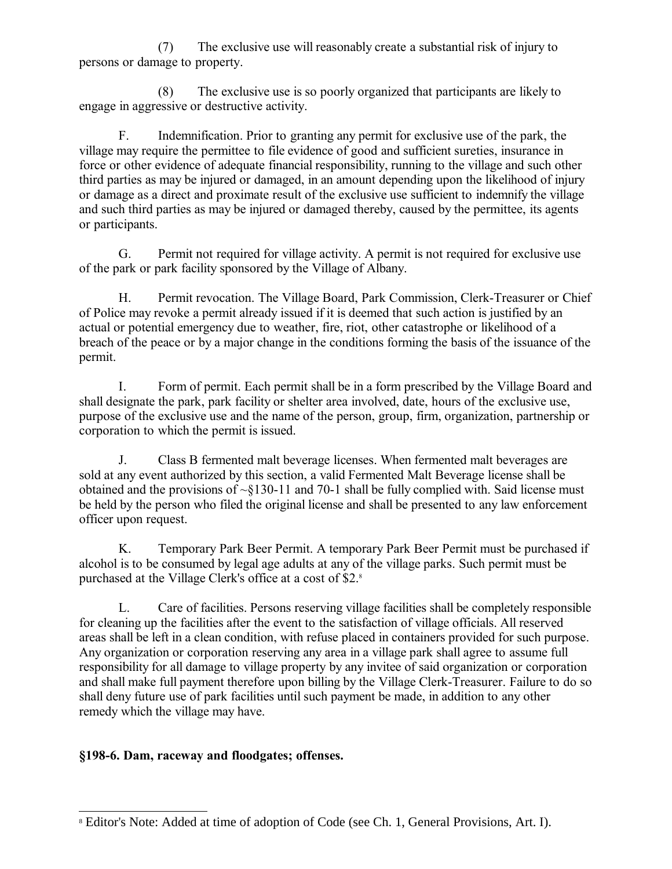(7) The exclusive use will reasonably create a substantial risk of injury to persons or damage to property.

(8) The exclusive use is so poorly organized that participants are likely to engage in aggressive or destructive activity.

F. Indemnification. Prior to granting any permit for exclusive use of the park, the village may require the permittee to file evidence of good and sufficient sureties, insurance in force or other evidence of adequate financial responsibility, running to the village and such other third parties as may be injured or damaged, in an amount depending upon the likelihood of injury or damage as a direct and proximate result of the exclusive use sufficient to indemnify the village and such third parties as may be injured or damaged thereby, caused by the permittee, its agents or participants.

G. Permit not required for village activity. A permit is not required for exclusive use of the park or park facility sponsored by the Village of Albany.

H. Permit revocation. The Village Board, Park Commission, Clerk-Treasurer or Chief of Police may revoke a permit already issued if it is deemed that such action is justified by an actual or potential emergency due to weather, fire, riot, other catastrophe or likelihood of a breach of the peace or by a major change in the conditions forming the basis of the issuance of the permit.

I. Form of permit. Each permit shall be in a form prescribed by the Village Board and shall designate the park, park facility or shelter area involved, date, hours of the exclusive use, purpose of the exclusive use and the name of the person, group, firm, organization, partnership or corporation to which the permit is issued.

J. Class B fermented malt beverage licenses. When fermented malt beverages are sold at any event authorized by this section, a valid Fermented Malt Beverage license shall be obtained and the provisions of  $\sim$ §130-11 and 70-1 shall be fully complied with. Said license must be held by the person who filed the original license and shall be presented to any law enforcement officer upon request.

K. Temporary Park Beer Permit. A temporary Park Beer Permit must be purchased if alcohol is to be consumed by legal age adults at any of the village parks. Such permit must be purchased at the Village Clerk's office at a cost of \$2.[8](#page-5-0)

L. Care of facilities. Persons reserving village facilities shall be completely responsible for cleaning up the facilities after the event to the satisfaction of village officials. All reserved areas shall be left in a clean condition, with refuse placed in containers provided for such purpose. Any organization or corporation reserving any area in a village park shall agree to assume full responsibility for all damage to village property by any invitee of said organization or corporation and shall make full payment therefore upon billing by the Village Clerk-Treasurer. Failure to do so shall deny future use of park facilities until such payment be made, in addition to any other remedy which the village may have.

# **§198-6. Dam, raceway and floodgates; offenses.**

<span id="page-5-0"></span><sup>8</sup> Editor's Note: Added at time of adoption of Code (see Ch. 1, General Provisions, Art. I).